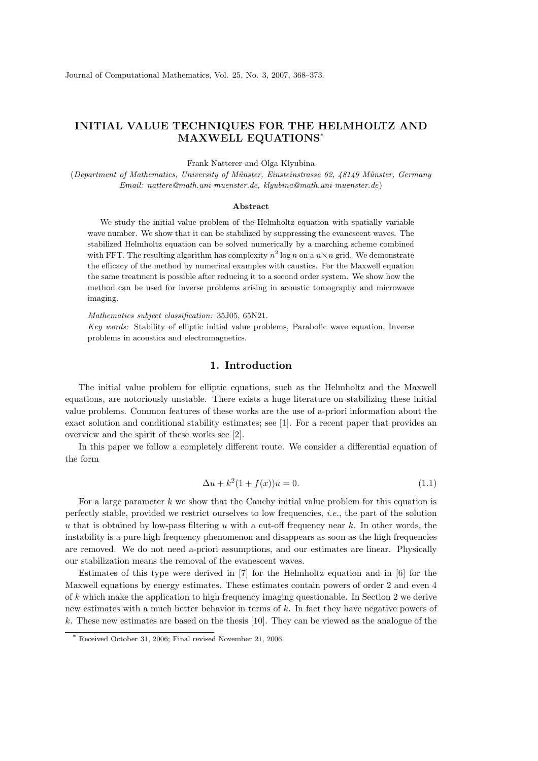## INITIAL VALUE TECHNIQUES FOR THE HELMHOLTZ AND MAXWELL EQUATIONS\*

Frank Natterer and Olga Klyubina

(Department of Mathematics, University of Münster, Einsteinstrasse 62, 48149 Münster, Germany Email: nattere@math.uni-muenster.de, klyubina@math.uni-muenster.de)

## Abstract

We study the initial value problem of the Helmholtz equation with spatially variable wave number. We show that it can be stabilized by suppressing the evanescent waves. The stabilized Helmholtz equation can be solved numerically by a marching scheme combined with FFT. The resulting algorithm has complexity  $n^2 \log n$  on a  $n \times n$  grid. We demonstrate the efficacy of the method by numerical examples with caustics. For the Maxwell equation the same treatment is possible after reducing it to a second order system. We show how the method can be used for inverse problems arising in acoustic tomography and microwave imaging.

Mathematics subject classification: 35J05, 65N21. Key words: Stability of elliptic initial value problems, Parabolic wave equation, Inverse problems in acoustics and electromagnetics.

## 1. Introduction

The initial value problem for elliptic equations, such as the Helmholtz and the Maxwell equations, are notoriously unstable. There exists a huge literature on stabilizing these initial value problems. Common features of these works are the use of a-priori information about the exact solution and conditional stability estimates; see [1]. For a recent paper that provides an overview and the spirit of these works see [2].

In this paper we follow a completely different route. We consider a differential equation of the form

$$
\Delta u + k^2 (1 + f(x))u = 0.
$$
\n(1.1)

For a large parameter  $k$  we show that the Cauchy initial value problem for this equation is perfectly stable, provided we restrict ourselves to low frequencies, i.e., the part of the solution u that is obtained by low-pass filtering u with a cut-off frequency near  $k$ . In other words, the instability is a pure high frequency phenomenon and disappears as soon as the high frequencies are removed. We do not need a-priori assumptions, and our estimates are linear. Physically our stabilization means the removal of the evanescent waves.

Estimates of this type were derived in [7] for the Helmholtz equation and in [6] for the Maxwell equations by energy estimates. These estimates contain powers of order 2 and even 4 of  $k$  which make the application to high frequency imaging questionable. In Section 2 we derive new estimates with a much better behavior in terms of k. In fact they have negative powers of k. These new estimates are based on the thesis [10]. They can be viewed as the analogue of the

Received October 31, 2006; Final revised November 21, 2006.